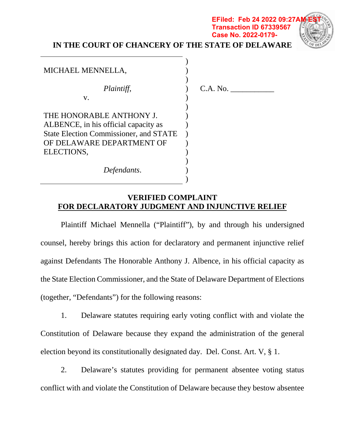# **IN THE COURT OF CHANCERY OF THE STATE OF DELAWARE**

) ) ) ) ) ) ) ) ) ) ) ) ) )



# MICHAEL MENNELLA,

v.

*Plaintiff*,

THE HONORABLE ANTHONY J. ALBENCE, in his official capacity as State Election Commissioner, and STATE OF DELAWARE DEPARTMENT OF ELECTIONS,

C.A. No. \_\_\_\_\_\_\_\_\_\_\_

**Transaction ID 67339567 Case No. 2022-0179-**

*Defendants*.

## **VERIFIED COMPLAINT FOR DECLARATORY JUDGMENT AND INJUNCTIVE RELIEF**

Plaintiff Michael Mennella ("Plaintiff"), by and through his undersigned counsel, hereby brings this action for declaratory and permanent injunctive relief against Defendants The Honorable Anthony J. Albence, in his official capacity as the State Election Commissioner, and the State of Delaware Department of Elections (together, "Defendants") for the following reasons:

1. Delaware statutes requiring early voting conflict with and violate the Constitution of Delaware because they expand the administration of the general election beyond its constitutionally designated day. Del. Const. Art. V, § 1.

2. Delaware's statutes providing for permanent absentee voting status conflict with and violate the Constitution of Delaware because they bestow absentee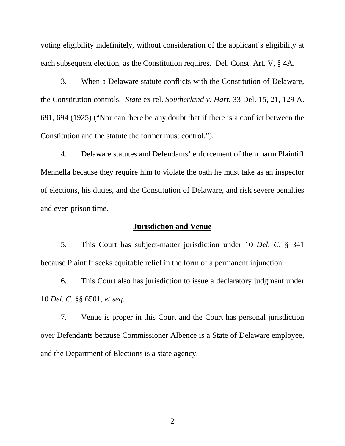voting eligibility indefinitely, without consideration of the applicant's eligibility at each subsequent election, as the Constitution requires. Del. Const. Art. V, § 4A.

3. When a Delaware statute conflicts with the Constitution of Delaware, the Constitution controls. *State* ex rel. *Southerland v. Hart*, 33 Del. 15, 21, 129 A. 691, 694 (1925) ("Nor can there be any doubt that if there is a conflict between the Constitution and the statute the former must control.").

4. Delaware statutes and Defendants' enforcement of them harm Plaintiff Mennella because they require him to violate the oath he must take as an inspector of elections, his duties, and the Constitution of Delaware, and risk severe penalties and even prison time.

## **Jurisdiction and Venue**

5. This Court has subject-matter jurisdiction under 10 *Del. C.* § 341 because Plaintiff seeks equitable relief in the form of a permanent injunction.

6. This Court also has jurisdiction to issue a declaratory judgment under 10 *Del. C.* §§ 6501, *et seq*.

7. Venue is proper in this Court and the Court has personal jurisdiction over Defendants because Commissioner Albence is a State of Delaware employee, and the Department of Elections is a state agency.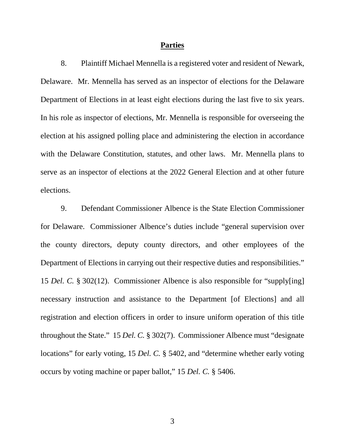#### **Parties**

8. Plaintiff Michael Mennella is a registered voter and resident of Newark, Delaware. Mr. Mennella has served as an inspector of elections for the Delaware Department of Elections in at least eight elections during the last five to six years. In his role as inspector of elections, Mr. Mennella is responsible for overseeing the election at his assigned polling place and administering the election in accordance with the Delaware Constitution, statutes, and other laws. Mr. Mennella plans to serve as an inspector of elections at the 2022 General Election and at other future elections.

9. Defendant Commissioner Albence is the State Election Commissioner for Delaware. Commissioner Albence's duties include "general supervision over the county directors, deputy county directors, and other employees of the Department of Elections in carrying out their respective duties and responsibilities." 15 *Del. C.* § 302(12). Commissioner Albence is also responsible for "supply[ing] necessary instruction and assistance to the Department [of Elections] and all registration and election officers in order to insure uniform operation of this title throughout the State." 15 *Del. C.* § 302(7). Commissioner Albence must "designate locations" for early voting, 15 *Del. C.* § 5402, and "determine whether early voting occurs by voting machine or paper ballot," 15 *Del. C.* § 5406.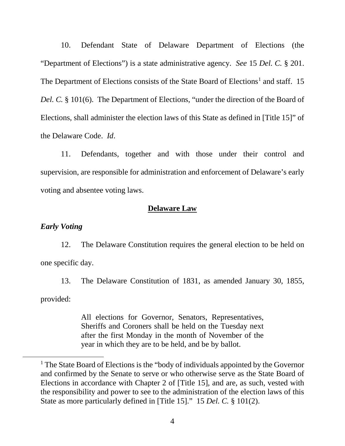10. Defendant State of Delaware Department of Elections (the "Department of Elections") is a state administrative agency. *See* 15 *Del. C.* § 201. The Department of Elections consists of the State Board of Elections<sup>[1](#page-3-0)</sup> and staff. 15 *Del. C.* § 101(6). The Department of Elections, "under the direction of the Board of Elections, shall administer the election laws of this State as defined in [Title 15]" of the Delaware Code. *Id*.

11. Defendants, together and with those under their control and supervision, are responsible for administration and enforcement of Delaware's early voting and absentee voting laws.

## **Delaware Law**

## *Early Voting*

12. The Delaware Constitution requires the general election to be held on one specific day.

13. The Delaware Constitution of 1831, as amended January 30, 1855,

provided:

All elections for Governor, Senators, Representatives, Sheriffs and Coroners shall be held on the Tuesday next after the first Monday in the month of November of the year in which they are to be held, and be by ballot.

<span id="page-3-0"></span> <sup>1</sup> The State Board of Elections is the "body of individuals appointed by the Governor and confirmed by the Senate to serve or who otherwise serve as the State Board of Elections in accordance with Chapter 2 of [Title 15], and are, as such, vested with the responsibility and power to see to the administration of the election laws of this State as more particularly defined in [Title 15]." 15 *Del. C.* § 101(2).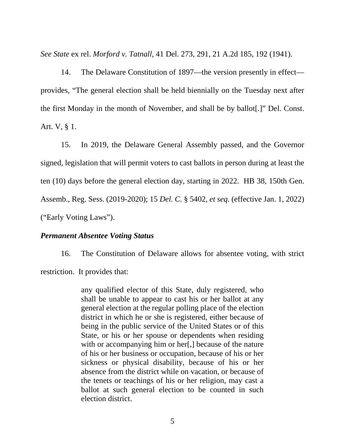*See State* ex rel. *Morford v. Tatnall*, 41 Del. 273, 291, 21 A.2d 185, 192 (1941).

14. The Delaware Constitution of 1897—the version presently in effect provides, "The general election shall be held biennially on the Tuesday next after the first Monday in the month of November, and shall be by ballot[.]" Del. Const. Art. V, § 1.

15. In 2019, the Delaware General Assembly passed, and the Governor signed, legislation that will permit voters to cast ballots in person during at least the ten (10) days before the general election day, starting in 2022. HB 38, 150th Gen. Assemb., Reg. Sess. (2019-2020); 15 *Del. C.* § 5402, *et seq*. (effective Jan. 1, 2022) ("Early Voting Laws").

#### *Permanent Absentee Voting Status*

16. The Constitution of Delaware allows for absentee voting, with strict restriction. It provides that:

> any qualified elector of this State, duly registered, who shall be unable to appear to cast his or her ballot at any general election at the regular polling place of the election district in which he or she is registered, either because of being in the public service of the United States or of this State, or his or her spouse or dependents when residing with or accompanying him or her. I because of the nature of his or her business or occupation, because of his or her sickness or physical disability, because of his or her absence from the district while on vacation, or because of the tenets or teachings of his or her religion, may cast a ballot at such general election to be counted in such election district.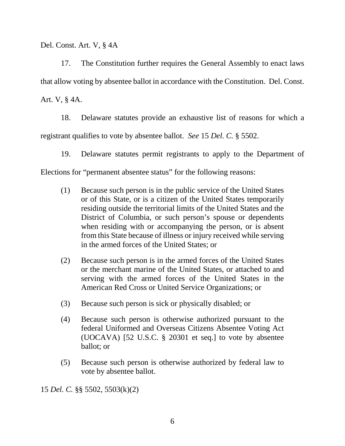Del. Const. Art. V, § 4A

17. The Constitution further requires the General Assembly to enact laws that allow voting by absentee ballot in accordance with the Constitution. Del. Const.

Art. V, § 4A.

18. Delaware statutes provide an exhaustive list of reasons for which a registrant qualifies to vote by absentee ballot. *See* 15 *Del. C.* § 5502.

19. Delaware statutes permit registrants to apply to the Department of

Elections for "permanent absentee status" for the following reasons:

- (1) Because such person is in the public service of the United States or of this State, or is a citizen of the United States temporarily residing outside the territorial limits of the United States and the District of Columbia, or such person's spouse or dependents when residing with or accompanying the person, or is absent from this State because of illness or injury received while serving in the armed forces of the United States; or
- (2) Because such person is in the armed forces of the United States or the merchant marine of the United States, or attached to and serving with the armed forces of the United States in the American Red Cross or United Service Organizations; or
- (3) Because such person is sick or physically disabled; or
- (4) Because such person is otherwise authorized pursuant to the federal Uniformed and Overseas Citizens Absentee Voting Act (UOCAVA) [52 U.S.C. § 20301 et seq.] to vote by absentee ballot; or
- (5) Because such person is otherwise authorized by federal law to vote by absentee ballot.

15 *Del. C.* §§ 5502, 5503(k)(2)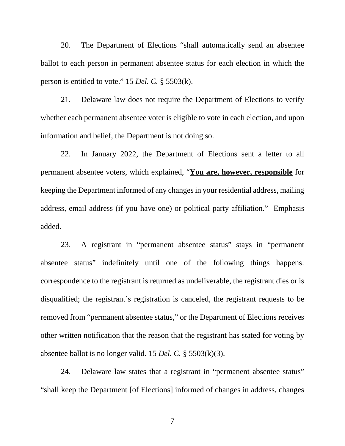20. The Department of Elections "shall automatically send an absentee ballot to each person in permanent absentee status for each election in which the person is entitled to vote." 15 *Del. C.* § 5503(k).

21. Delaware law does not require the Department of Elections to verify whether each permanent absentee voter is eligible to vote in each election, and upon information and belief, the Department is not doing so.

22. In January 2022, the Department of Elections sent a letter to all permanent absentee voters, which explained, "**You are, however, responsible** for keeping the Department informed of any changes in your residential address, mailing address, email address (if you have one) or political party affiliation." Emphasis added.

23. A registrant in "permanent absentee status" stays in "permanent absentee status" indefinitely until one of the following things happens: correspondence to the registrant is returned as undeliverable, the registrant dies or is disqualified; the registrant's registration is canceled, the registrant requests to be removed from "permanent absentee status," or the Department of Elections receives other written notification that the reason that the registrant has stated for voting by absentee ballot is no longer valid. 15 *Del. C.* § 5503(k)(3).

24. Delaware law states that a registrant in "permanent absentee status" "shall keep the Department [of Elections] informed of changes in address, changes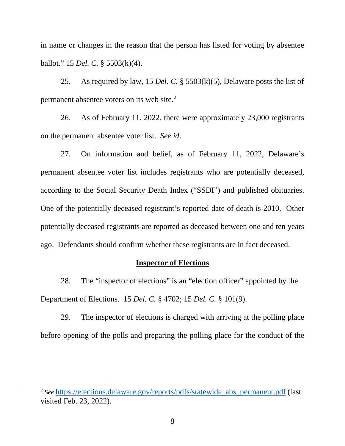in name or changes in the reason that the person has listed for voting by absentee ballot." 15 *Del. C.* § 5503(k)(4).

25. As required by law, 15 *Del. C.* § 5503(k)(5), Delaware posts the list of permanent absentee voters on its web site.[2](#page-7-0)

26. As of February 11, 2022, there were approximately 23,000 registrants on the permanent absentee voter list. *See id*.

27. On information and belief, as of February 11, 2022, Delaware's permanent absentee voter list includes registrants who are potentially deceased, according to the Social Security Death Index ("SSDI") and published obituaries. One of the potentially deceased registrant's reported date of death is 2010. Other potentially deceased registrants are reported as deceased between one and ten years ago. Defendants should confirm whether these registrants are in fact deceased.

#### **Inspector of Elections**

28. The "inspector of elections" is an "election officer" appointed by the Department of Elections. 15 *Del. C.* § 4702; 15 *Del. C.* § 101(9).

29. The inspector of elections is charged with arriving at the polling place before opening of the polls and preparing the polling place for the conduct of the

<span id="page-7-0"></span><sup>&</sup>lt;sup>2</sup> See [https://elections.delaware.gov/reports/pdfs/statewide\\_abs\\_permanent.pdf](https://elections.delaware.gov/reports/pdfs/statewide_abs_permanent.pdf) (last visited Feb. 23, 2022).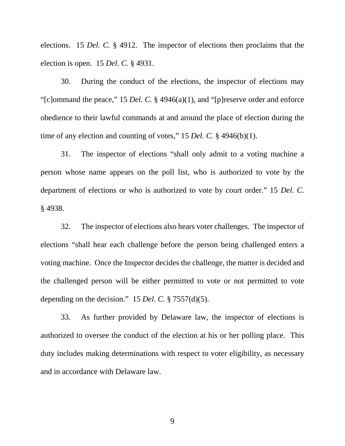elections. 15 *Del. C.* § 4912. The inspector of elections then proclaims that the election is open. 15 *Del. C.* § 4931.

30. During the conduct of the elections, the inspector of elections may "[c]ommand the peace," 15 *Del. C.* § 4946(a)(1), and "[p]reserve order and enforce obedience to their lawful commands at and around the place of election during the time of any election and counting of votes," 15 *Del. C.* § 4946(b)(1).

31. The inspector of elections "shall only admit to a voting machine a person whose name appears on the poll list, who is authorized to vote by the department of elections or who is authorized to vote by court order." 15 *Del. C.* § 4938.

32. The inspector of elections also hears voter challenges. The inspector of elections "shall hear each challenge before the person being challenged enters a voting machine. Once the Inspector decides the challenge, the matter is decided and the challenged person will be either permitted to vote or not permitted to vote depending on the decision." 15 *Del. C.* § 7557(d)(5).

33. As further provided by Delaware law, the inspector of elections is authorized to oversee the conduct of the election at his or her polling place. This duty includes making determinations with respect to voter eligibility, as necessary and in accordance with Delaware law.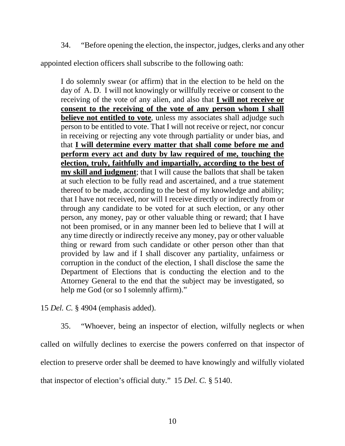34. "Before opening the election, the inspector, judges, clerks and any other

appointed election officers shall subscribe to the following oath:

I do solemnly swear (or affirm) that in the election to be held on the day of A. D. I will not knowingly or willfully receive or consent to the receiving of the vote of any alien, and also that **I will not receive or consent to the receiving of the vote of any person whom I shall believe not entitled to vote**, unless my associates shall adjudge such person to be entitled to vote. That I will not receive or reject, nor concur in receiving or rejecting any vote through partiality or under bias, and that **I will determine every matter that shall come before me and perform every act and duty by law required of me, touching the election, truly, faithfully and impartially, according to the best of my skill and judgment**; that I will cause the ballots that shall be taken at such election to be fully read and ascertained, and a true statement thereof to be made, according to the best of my knowledge and ability; that I have not received, nor will I receive directly or indirectly from or through any candidate to be voted for at such election, or any other person, any money, pay or other valuable thing or reward; that I have not been promised, or in any manner been led to believe that I will at any time directly or indirectly receive any money, pay or other valuable thing or reward from such candidate or other person other than that provided by law and if I shall discover any partiality, unfairness or corruption in the conduct of the election, I shall disclose the same the Department of Elections that is conducting the election and to the Attorney General to the end that the subject may be investigated, so help me God (or so I solemnly affirm)."

15 *Del. C.* § 4904 (emphasis added).

35. "Whoever, being an inspector of election, wilfully neglects or when called on wilfully declines to exercise the powers conferred on that inspector of election to preserve order shall be deemed to have knowingly and wilfully violated that inspector of election's official duty." 15 *Del. C.* § 5140.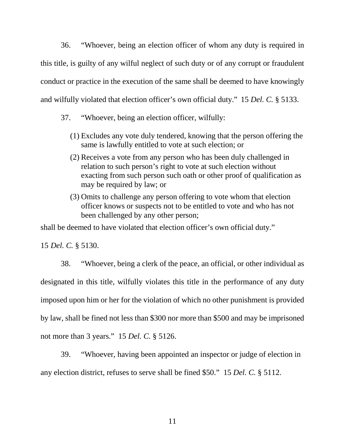36. "Whoever, being an election officer of whom any duty is required in this title, is guilty of any wilful neglect of such duty or of any corrupt or fraudulent conduct or practice in the execution of the same shall be deemed to have knowingly and wilfully violated that election officer's own official duty." 15 *Del. C.* § 5133.

- 37. "Whoever, being an election officer, wilfully:
	- (1) Excludes any vote duly tendered, knowing that the person offering the same is lawfully entitled to vote at such election; or
	- (2) Receives a vote from any person who has been duly challenged in relation to such person's right to vote at such election without exacting from such person such oath or other proof of qualification as may be required by law; or
	- (3) Omits to challenge any person offering to vote whom that election officer knows or suspects not to be entitled to vote and who has not been challenged by any other person;

shall be deemed to have violated that election officer's own official duty."

15 *Del. C.* § 5130.

38. "Whoever, being a clerk of the peace, an official, or other individual as designated in this title, wilfully violates this title in the performance of any duty imposed upon him or her for the violation of which no other punishment is provided by law, shall be fined not less than \$300 nor more than \$500 and may be imprisoned not more than 3 years." 15 *Del. C.* § 5126.

39. "Whoever, having been appointed an inspector or judge of election in any election district, refuses to serve shall be fined \$50." 15 *Del. C.* § 5112.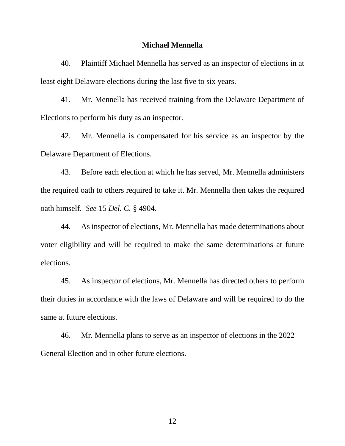#### **Michael Mennella**

40. Plaintiff Michael Mennella has served as an inspector of elections in at least eight Delaware elections during the last five to six years.

41. Mr. Mennella has received training from the Delaware Department of Elections to perform his duty as an inspector.

42. Mr. Mennella is compensated for his service as an inspector by the Delaware Department of Elections.

43. Before each election at which he has served, Mr. Mennella administers the required oath to others required to take it. Mr. Mennella then takes the required oath himself. *See* 15 *Del. C.* § 4904.

44. As inspector of elections, Mr. Mennella has made determinations about voter eligibility and will be required to make the same determinations at future elections.

45. As inspector of elections, Mr. Mennella has directed others to perform their duties in accordance with the laws of Delaware and will be required to do the same at future elections.

46. Mr. Mennella plans to serve as an inspector of elections in the 2022 General Election and in other future elections.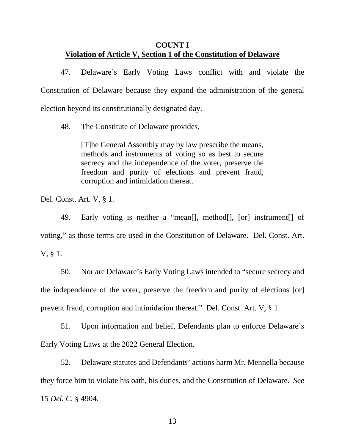## **COUNT I Violation of Article V, Section 1 of the Constitution of Delaware**

47. Delaware's Early Voting Laws conflict with and violate the Constitution of Delaware because they expand the administration of the general election beyond its constitutionally designated day.

48. The Constitute of Delaware provides,

[T]he General Assembly may by law prescribe the means, methods and instruments of voting so as best to secure secrecy and the independence of the voter, preserve the freedom and purity of elections and prevent fraud, corruption and intimidation thereat.

Del. Const. Art. V, § 1.

49. Early voting is neither a "mean[], method[], [or] instrument[] of voting," as those terms are used in the Constitution of Delaware. Del. Const. Art. V, § 1.

50. Nor are Delaware's Early Voting Laws intended to "secure secrecy and the independence of the voter, preserve the freedom and purity of elections [or] prevent fraud, corruption and intimidation thereat." Del. Const. Art. V, § 1.

51. Upon information and belief, Defendants plan to enforce Delaware's Early Voting Laws at the 2022 General Election.

52. Delaware statutes and Defendants' actions harm Mr. Mennella because they force him to violate his oath, his duties, and the Constitution of Delaware. *See* 15 *Del. C.* § 4904.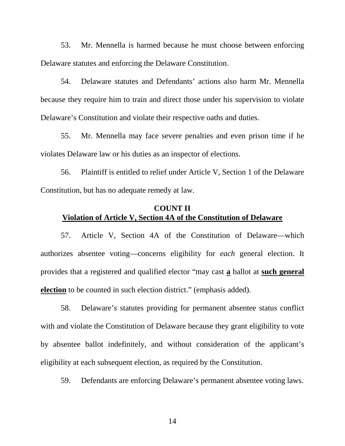53. Mr. Mennella is harmed because he must choose between enforcing Delaware statutes and enforcing the Delaware Constitution.

54. Delaware statutes and Defendants' actions also harm Mr. Mennella because they require him to train and direct those under his supervision to violate Delaware's Constitution and violate their respective oaths and duties.

55. Mr. Mennella may face severe penalties and even prison time if he violates Delaware law or his duties as an inspector of elections.

56. Plaintiff is entitled to relief under Article V, Section 1 of the Delaware Constitution, but has no adequate remedy at law.

## **COUNT II Violation of Article V, Section 4A of the Constitution of Delaware**

57. Article V, Section 4A of the Constitution of Delaware—which authorizes absentee voting—concerns eligibility for *each* general election. It provides that a registered and qualified elector "may cast **a** ballot at **such general election** to be counted in such election district." (emphasis added).

58. Delaware's statutes providing for permanent absentee status conflict with and violate the Constitution of Delaware because they grant eligibility to vote by absentee ballot indefinitely, and without consideration of the applicant's eligibility at each subsequent election, as required by the Constitution.

59. Defendants are enforcing Delaware's permanent absentee voting laws.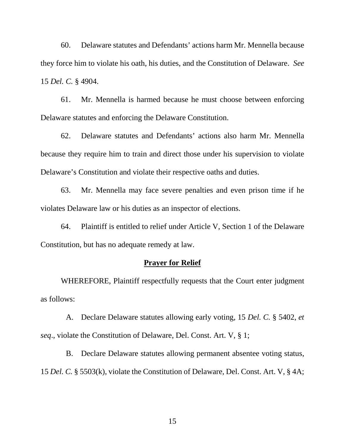60. Delaware statutes and Defendants' actions harm Mr. Mennella because they force him to violate his oath, his duties, and the Constitution of Delaware. *See* 15 *Del. C.* § 4904.

61. Mr. Mennella is harmed because he must choose between enforcing Delaware statutes and enforcing the Delaware Constitution.

62. Delaware statutes and Defendants' actions also harm Mr. Mennella because they require him to train and direct those under his supervision to violate Delaware's Constitution and violate their respective oaths and duties.

63. Mr. Mennella may face severe penalties and even prison time if he violates Delaware law or his duties as an inspector of elections.

64. Plaintiff is entitled to relief under Article V, Section 1 of the Delaware Constitution, but has no adequate remedy at law.

#### **Prayer for Relief**

WHEREFORE, Plaintiff respectfully requests that the Court enter judgment as follows:

A. Declare Delaware statutes allowing early voting, 15 *Del. C.* § 5402, *et seq*., violate the Constitution of Delaware, Del. Const. Art. V, § 1;

B. Declare Delaware statutes allowing permanent absentee voting status, 15 *Del. C.* § 5503(k), violate the Constitution of Delaware, Del. Const. Art. V, § 4A;